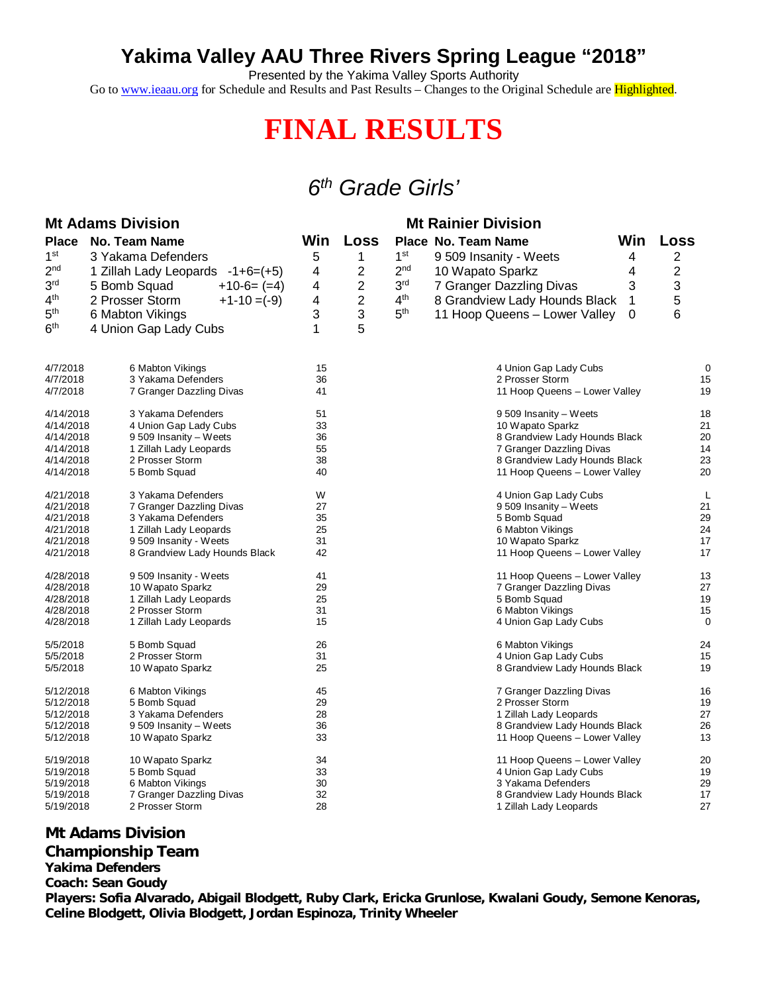### **Yakima Valley AAU Three Rivers Spring League "2018"**

Presented by the Yakima Valley Sports Authority

Go to [www.ieaau.org](http://www.ieaau.org) for Schedule and Results and Past Results – Changes to the Original Schedule are Highlighted.

# **FINAL RESULTS**

## *6 th Grade Girls'*

|                        | <b>Mt Adams Division</b>                       | <b>Mt Rainier Division</b>                                          |                                        |                                                  |             |                |
|------------------------|------------------------------------------------|---------------------------------------------------------------------|----------------------------------------|--------------------------------------------------|-------------|----------------|
| <b>Place</b>           | <b>No. Team Name</b>                           | Win                                                                 | Loss                                   | Place No. Team Name                              | Win         | Loss           |
| 1 <sup>st</sup>        | 3 Yakama Defenders                             | 5                                                                   | 1                                      | 1 <sup>st</sup><br>9 509 Insanity - Weets        | 4           | $\overline{2}$ |
| 2 <sub>nd</sub>        | 1 Zillah Lady Leopards -1+6=(+5)               | 4                                                                   | 2                                      | 2 <sub>nd</sub><br>10 Wapato Sparkz              | 4           | 2              |
| 3 <sup>rd</sup>        |                                                |                                                                     |                                        | 3 <sup>rd</sup>                                  |             | 3              |
|                        | $+10-6= (=4)$<br>5 Bomb Squad                  | 4                                                                   | $\overline{2}$                         | 7 Granger Dazzling Divas                         | 3           |                |
| 4 <sup>th</sup>        | 2 Prosser Storm<br>$+1-10 = (-9)$              | 4                                                                   | $\overline{c}$                         | 4 <sup>th</sup><br>8 Grandview Lady Hounds Black | 1           | 5              |
| 5 <sup>th</sup>        | 6 Mabton Vikings                               | 3                                                                   | 3                                      | 5 <sup>th</sup><br>11 Hoop Queens - Lower Valley | $\mathbf 0$ | 6              |
| 6 <sup>th</sup>        | 4 Union Gap Lady Cubs                          | 1                                                                   | 5                                      |                                                  |             |                |
| 4/7/2018               | 6 Mabton Vikings                               | 15                                                                  |                                        | 4 Union Gap Lady Cubs                            |             | 0              |
| 4/7/2018               | 3 Yakama Defenders                             | 36                                                                  |                                        | 2 Prosser Storm                                  |             | 15             |
| 4/7/2018               | 7 Granger Dazzling Divas                       | 41                                                                  |                                        | 11 Hoop Queens - Lower Valley                    |             | 19             |
| 4/14/2018              | 3 Yakama Defenders                             | 51                                                                  |                                        | 9509 Insanity - Weets                            |             | 18             |
| 4/14/2018              | 4 Union Gap Lady Cubs                          | 33                                                                  |                                        | 10 Wapato Sparkz                                 |             | 21             |
| 4/14/2018              | 9 509 Insanity - Weets                         | 36                                                                  |                                        | 8 Grandview Lady Hounds Black                    |             | 20             |
| 4/14/2018              | 1 Zillah Lady Leopards                         | 55                                                                  |                                        | 7 Granger Dazzling Divas                         |             | 14             |
| 4/14/2018              | 2 Prosser Storm                                | 38                                                                  |                                        | 8 Grandview Lady Hounds Black                    |             | 23             |
| 4/14/2018              | 5 Bomb Squad                                   | 40                                                                  |                                        | 11 Hoop Queens - Lower Valley                    |             | 20             |
| 4/21/2018              | 3 Yakama Defenders                             | W                                                                   |                                        | 4 Union Gap Lady Cubs                            |             | L              |
| 4/21/2018<br>4/21/2018 | 7 Granger Dazzling Divas<br>3 Yakama Defenders | 27<br>35                                                            |                                        | 9 509 Insanity - Weets                           |             | 21<br>29       |
| 4/21/2018              | 1 Zillah Lady Leopards                         |                                                                     | 5 Bomb Squad<br>25<br>6 Mabton Vikings |                                                  | 24          |                |
| 4/21/2018              | 9 509 Insanity - Weets                         | 31                                                                  |                                        | 10 Wapato Sparkz                                 |             | 17             |
| 4/21/2018              | 8 Grandview Lady Hounds Black                  | 42                                                                  |                                        | 11 Hoop Queens - Lower Valley                    |             | 17             |
| 4/28/2018              | 9 509 Insanity - Weets                         | 41                                                                  |                                        | 11 Hoop Queens - Lower Valley                    |             | 13             |
| 4/28/2018              | 10 Wapato Sparkz                               | 29                                                                  |                                        | 7 Granger Dazzling Divas                         |             | 27             |
| 4/28/2018              | 1 Zillah Lady Leopards                         | 25                                                                  |                                        | 5 Bomb Squad                                     |             | 19             |
| 4/28/2018              | 2 Prosser Storm                                | 31                                                                  |                                        | 6 Mabton Vikings                                 |             | 15             |
| 4/28/2018              | 1 Zillah Lady Leopards                         | 15                                                                  |                                        | 4 Union Gap Lady Cubs                            |             | 0              |
| 5/5/2018               | 5 Bomb Squad                                   | 26                                                                  |                                        | 6 Mabton Vikings                                 |             | 24             |
| 5/5/2018               | 2 Prosser Storm                                | 31                                                                  |                                        | 4 Union Gap Lady Cubs                            |             | 15             |
| 5/5/2018               | 10 Wapato Sparkz                               | 25                                                                  |                                        | 8 Grandview Lady Hounds Black                    |             | 19             |
| 5/12/2018              | 6 Mabton Vikings                               | 45                                                                  |                                        | 7 Granger Dazzling Divas                         |             | 16             |
| 5/12/2018              | 5 Bomb Squad                                   | 29                                                                  | 2 Prosser Storm                        |                                                  | 19          |                |
| 5/12/2018<br>5/12/2018 | 3 Yakama Defenders                             | 28<br>1 Zillah Lady Leopards<br>36<br>8 Grandview Lady Hounds Black |                                        | 27<br>26                                         |             |                |
| 5/12/2018              | 9 509 Insanity - Weets<br>10 Wapato Sparkz     | 33                                                                  |                                        | 11 Hoop Queens - Lower Valley                    |             | 13             |
| 5/19/2018              | 10 Wapato Sparkz                               | 34                                                                  |                                        | 11 Hoop Queens - Lower Valley                    |             | 20             |
| 5/19/2018              | 5 Bomb Squad                                   | 33                                                                  |                                        | 4 Union Gap Lady Cubs                            |             | 19             |
| 5/19/2018              | 6 Mabton Vikings                               | 30                                                                  |                                        | 3 Yakama Defenders                               |             | 29             |
| 5/19/2018              | 7 Granger Dazzling Divas                       | 32                                                                  |                                        | 8 Grandview Lady Hounds Black                    |             | 17             |
| 5/19/2018              | 2 Prosser Storm                                | 28                                                                  |                                        | 1 Zillah Lady Leopards                           |             | 27             |

### **Mt Adams Division**

**Championship Team**

**Yakima Defenders**

**Coach: Sean Goudy**

**Players: Sofia Alvarado, Abigail Blodgett, Ruby Clark, Ericka Grunlose, Kwalani Goudy, Semone Kenoras, Celine Blodgett, Olivia Blodgett, Jordan Espinoza, Trinity Wheeler**